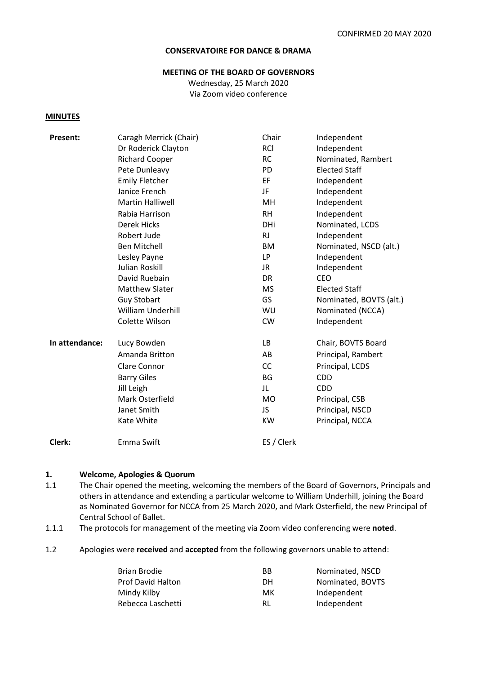#### **CONSERVATOIRE FOR DANCE & DRAMA**

#### **MEETING OF THE BOARD OF GOVERNORS**

Wednesday, 25 March 2020 Via Zoom video conference

#### **MINUTES**

| Present:       | Caragh Merrick (Chair)  | Chair      | Independent             |
|----------------|-------------------------|------------|-------------------------|
|                | Dr Roderick Clayton     | <b>RCI</b> | Independent             |
|                | <b>Richard Cooper</b>   | <b>RC</b>  | Nominated, Rambert      |
|                | Pete Dunleavy           | <b>PD</b>  | <b>Elected Staff</b>    |
|                | <b>Emily Fletcher</b>   | EF         | Independent             |
|                | Janice French           | JF         | Independent             |
|                | <b>Martin Halliwell</b> | MH         | Independent             |
|                | Rabia Harrison          | <b>RH</b>  | Independent             |
|                | <b>Derek Hicks</b>      | DHi        | Nominated, LCDS         |
|                | Robert Jude             | <b>RJ</b>  | Independent             |
|                | <b>Ben Mitchell</b>     | BM         | Nominated, NSCD (alt.)  |
|                | Lesley Payne            | LP.        | Independent             |
|                | Julian Roskill          | JR.        | Independent             |
|                | David Ruebain           | <b>DR</b>  | <b>CEO</b>              |
|                | <b>Matthew Slater</b>   | <b>MS</b>  | <b>Elected Staff</b>    |
|                | <b>Guy Stobart</b>      | GS         | Nominated, BOVTS (alt.) |
|                | William Underhill       | WU         | Nominated (NCCA)        |
|                | Colette Wilson          | <b>CW</b>  | Independent             |
| In attendance: | Lucy Bowden             | LB         | Chair, BOVTS Board      |
|                | Amanda Britton          | AB         | Principal, Rambert      |
|                | Clare Connor            | <b>CC</b>  | Principal, LCDS         |
|                | <b>Barry Giles</b>      | <b>BG</b>  | <b>CDD</b>              |
|                | Jill Leigh              | JL         | <b>CDD</b>              |
|                | Mark Osterfield         | <b>MO</b>  | Principal, CSB          |
|                | Janet Smith             | JS.        | Principal, NSCD         |
|                | Kate White              | KW         | Principal, NCCA         |
| Clerk:         | Emma Swift              | ES / Clerk |                         |
|                |                         |            |                         |

#### **1. Welcome, Apologies & Quorum**

- 1.1 The Chair opened the meeting, welcoming the members of the Board of Governors, Principals and others in attendance and extending a particular welcome to William Underhill, joining the Board as Nominated Governor for NCCA from 25 March 2020, and Mark Osterfield, the new Principal of Central School of Ballet.
- 1.1.1 The protocols for management of the meeting via Zoom video conferencing were **noted**.
- 1.2 Apologies were **received** and **accepted** from the following governors unable to attend:

| Brian Brodie             | ВB | Nominated, NSCD  |
|--------------------------|----|------------------|
| <b>Prof David Halton</b> | DН | Nominated, BOVTS |
| Mindy Kilby              | мк | Independent      |
| Rebecca Laschetti        | RL | Independent      |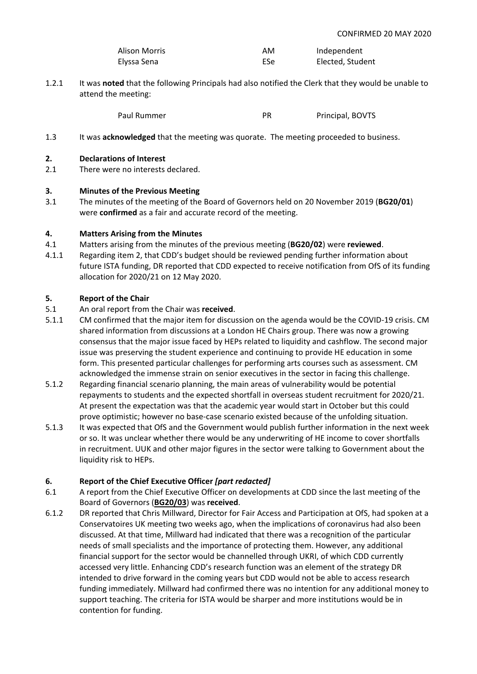| Alison Morris | AM  | Independent      |
|---------------|-----|------------------|
| Elyssa Sena   | ESe | Elected, Student |

1.2.1 It was **noted** that the following Principals had also notified the Clerk that they would be unable to attend the meeting:

Paul Rummer Paul Rummer PR Principal, BOVTS

1.3 It was **acknowledged** that the meeting was quorate. The meeting proceeded to business.

#### **2. Declarations of Interest**

2.1 There were no interests declared.

#### **3. Minutes of the Previous Meeting**

3.1 The minutes of the meeting of the Board of Governors held on 20 November 2019 (**BG20/01**) were **confirmed** as a fair and accurate record of the meeting.

#### **4. Matters Arising from the Minutes**

- 4.1 Matters arising from the minutes of the previous meeting (**BG20/02**) were **reviewed**.
- 4.1.1 Regarding item 2, that CDD's budget should be reviewed pending further information about future ISTA funding, DR reported that CDD expected to receive notification from OfS of its funding allocation for 2020/21 on 12 May 2020.

#### **5. Report of the Chair**

- 5.1 An oral report from the Chair was **received**.
- 5.1.1 CM confirmed that the major item for discussion on the agenda would be the COVID-19 crisis. CM shared information from discussions at a London HE Chairs group. There was now a growing consensus that the major issue faced by HEPs related to liquidity and cashflow. The second major issue was preserving the student experience and continuing to provide HE education in some form. This presented particular challenges for performing arts courses such as assessment. CM acknowledged the immense strain on senior executives in the sector in facing this challenge.
- 5.1.2 Regarding financial scenario planning, the main areas of vulnerability would be potential repayments to students and the expected shortfall in overseas student recruitment for 2020/21. At present the expectation was that the academic year would start in October but this could prove optimistic; however no base-case scenario existed because of the unfolding situation.
- 5.1.3 It was expected that OfS and the Government would publish further information in the next week or so. It was unclear whether there would be any underwriting of HE income to cover shortfalls in recruitment. UUK and other major figures in the sector were talking to Government about the liquidity risk to HEPs.

# **6. Report of the Chief Executive Officer** *[part redacted]*

- 6.1 A report from the Chief Executive Officer on developments at CDD since the last meeting of the Board of Governors (**BG20/03**) was **received**.
- 6.1.2 DR reported that Chris Millward, Director for Fair Access and Participation at OfS, had spoken at a Conservatoires UK meeting two weeks ago, when the implications of coronavirus had also been discussed. At that time, Millward had indicated that there was a recognition of the particular needs of small specialists and the importance of protecting them. However, any additional financial support for the sector would be channelled through UKRI, of which CDD currently accessed very little. Enhancing CDD's research function was an element of the strategy DR intended to drive forward in the coming years but CDD would not be able to access research funding immediately. Millward had confirmed there was no intention for any additional money to support teaching. The criteria for ISTA would be sharper and more institutions would be in contention for funding.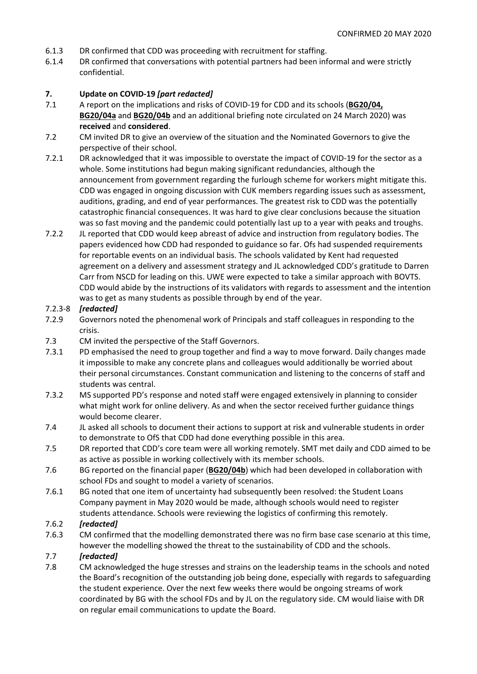- 6.1.3 DR confirmed that CDD was proceeding with recruitment for staffing.
- 6.1.4 DR confirmed that conversations with potential partners had been informal and were strictly confidential.

#### **7. Update on COVID-19** *[part redacted]*

- 7.1 A report on the implications and risks of COVID-19 for CDD and its schools (**BG20/04, BG20/04a** and **BG20/04b** and an additional briefing note circulated on 24 March 2020) was **received** and **considered**.
- 7.2 CM invited DR to give an overview of the situation and the Nominated Governors to give the perspective of their school.
- 7.2.1 DR acknowledged that it was impossible to overstate the impact of COVID-19 for the sector as a whole. Some institutions had begun making significant redundancies, although the announcement from government regarding the furlough scheme for workers might mitigate this. CDD was engaged in ongoing discussion with CUK members regarding issues such as assessment, auditions, grading, and end of year performances. The greatest risk to CDD was the potentially catastrophic financial consequences. It was hard to give clear conclusions because the situation was so fast moving and the pandemic could potentially last up to a year with peaks and troughs.
- 7.2.2 JL reported that CDD would keep abreast of advice and instruction from regulatory bodies. The papers evidenced how CDD had responded to guidance so far. Ofs had suspended requirements for reportable events on an individual basis. The schools validated by Kent had requested agreement on a delivery and assessment strategy and JL acknowledged CDD's gratitude to Darren Carr from NSCD for leading on this. UWE were expected to take a similar approach with BOVTS. CDD would abide by the instructions of its validators with regards to assessment and the intention was to get as many students as possible through by end of the year.

#### 7.2.3-8 *[redacted]*

- 7.2.9 Governors noted the phenomenal work of Principals and staff colleagues in responding to the crisis.
- 7.3 CM invited the perspective of the Staff Governors.
- 7.3.1 PD emphasised the need to group together and find a way to move forward. Daily changes made it impossible to make any concrete plans and colleagues would additionally be worried about their personal circumstances. Constant communication and listening to the concerns of staff and students was central.
- 7.3.2 MS supported PD's response and noted staff were engaged extensively in planning to consider what might work for online delivery. As and when the sector received further guidance things would become clearer.
- 7.4 JL asked all schools to document their actions to support at risk and vulnerable students in order to demonstrate to OfS that CDD had done everything possible in this area.
- 7.5 DR reported that CDD's core team were all working remotely. SMT met daily and CDD aimed to be as active as possible in working collectively with its member schools.
- 7.6 BG reported on the financial paper (**BG20/04b**) which had been developed in collaboration with school FDs and sought to model a variety of scenarios.
- 7.6.1 BG noted that one item of uncertainty had subsequently been resolved: the Student Loans Company payment in May 2020 would be made, although schools would need to register students attendance. Schools were reviewing the logistics of confirming this remotely.

#### 7.6.2 *[redacted]*

7.6.3 CM confirmed that the modelling demonstrated there was no firm base case scenario at this time, however the modelling showed the threat to the sustainability of CDD and the schools.

#### 7.7 *[redacted]*

7.8 CM acknowledged the huge stresses and strains on the leadership teams in the schools and noted the Board's recognition of the outstanding job being done, especially with regards to safeguarding the student experience. Over the next few weeks there would be ongoing streams of work coordinated by BG with the school FDs and by JL on the regulatory side. CM would liaise with DR on regular email communications to update the Board.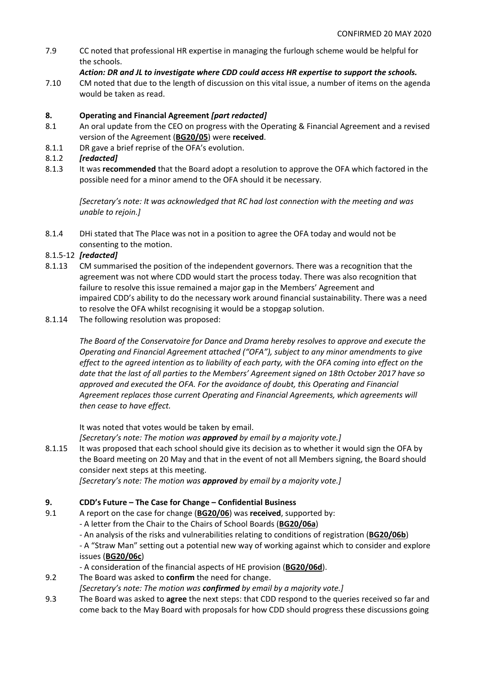7.9 CC noted that professional HR expertise in managing the furlough scheme would be helpful for the schools.

# *Action: DR and JL to investigate where CDD could access HR expertise to support the schools.*

7.10 CM noted that due to the length of discussion on this vital issue, a number of items on the agenda would be taken as read.

# **8. Operating and Financial Agreement** *[part redacted]*

- 8.1 An oral update from the CEO on progress with the Operating & Financial Agreement and a revised version of the Agreement (**BG20/05**) were **received**.
- 8.1.1 DR gave a brief reprise of the OFA's evolution.

# 8.1.2 *[redacted]*

8.1.3 It was **recommended** that the Board adopt a resolution to approve the OFA which factored in the possible need for a minor amend to the OFA should it be necessary.

*[Secretary's note: It was acknowledged that RC had lost connection with the meeting and was unable to rejoin.]*

8.1.4 DHi stated that The Place was not in a position to agree the OFA today and would not be consenting to the motion.

# 8.1.5-12 *[redacted]*

- 8.1.13 CM summarised the position of the independent governors. There was a recognition that the agreement was not where CDD would start the process today. There was also recognition that failure to resolve this issue remained a major gap in the Members' Agreement and impaired CDD's ability to do the necessary work around financial sustainability. There was a need to resolve the OFA whilst recognising it would be a stopgap solution.
- 8.1.14 The following resolution was proposed:

*The Board of the Conservatoire for Dance and Drama hereby resolves to approve and execute the Operating and Financial Agreement attached ("OFA"), subject to any minor amendments to give effect to the agreed intention as to liability of each party, with the OFA coming into effect on the date that the last of all parties to the Members' Agreement signed on 18th October 2017 have so approved and executed the OFA. For the avoidance of doubt, this Operating and Financial Agreement replaces those current Operating and Financial Agreements, which agreements will then cease to have effect.*

It was noted that votes would be taken by email.

*[Secretary's note: The motion was approved by email by a majority vote.]*

8.1.15 It was proposed that each school should give its decision as to whether it would sign the OFA by the Board meeting on 20 May and that in the event of not all Members signing, the Board should consider next steps at this meeting.

*[Secretary's note: The motion was approved by email by a majority vote.]*

# **9. CDD's Future – The Case for Change – Confidential Business**

9.1 A report on the case for change (**BG20/06**) was **received**, supported by:

- A letter from the Chair to the Chairs of School Boards (**BG20/06a**)

- An analysis of the risks and vulnerabilities relating to conditions of registration (**BG20/06b**)

- A "Straw Man" setting out a potential new way of working against which to consider and explore issues (**BG20/06c**)

- A consideration of the financial aspects of HE provision (**BG20/06d**).
- 9.2 The Board was asked to **confirm** the need for change.
- *[Secretary's note: The motion was confirmed by email by a majority vote.]*
- 9.3 The Board was asked to **agree** the next steps: that CDD respond to the queries received so far and come back to the May Board with proposals for how CDD should progress these discussions going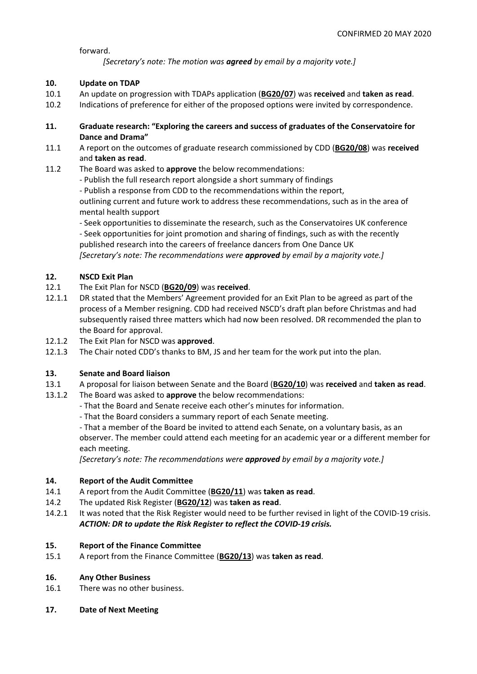forward.

*[Secretary's note: The motion was agreed by email by a majority vote.]*

# **10. Update on TDAP**

- 10.1 An update on progression with TDAPs application (**BG20/07**) was **received** and **taken as read**.
- 10.2 Indications of preference for either of the proposed options were invited by correspondence.
- **11. Graduate research: "Exploring the careers and success of graduates of the Conservatoire for Dance and Drama"**
- 11.1 A report on the outcomes of graduate research commissioned by CDD (**BG20/08**) was **received** and **taken as read**.
- 11.2 The Board was asked to **approve** the below recommendations:
	- Publish the full research report alongside a short summary of findings
	- Publish a response from CDD to the recommendations within the report,

outlining current and future work to address these recommendations, such as in the area of mental health support

- Seek opportunities to disseminate the research, such as the Conservatoires UK conference - Seek opportunities for joint promotion and sharing of findings, such as with the recently published research into the careers of freelance dancers from One Dance UK *[Secretary's note: The recommendations were approved by email by a majority vote.]*

# **12. NSCD Exit Plan**

- 12.1 The Exit Plan for NSCD (**BG20/09**) was **received**.
- 12.1.1 DR stated that the Members' Agreement provided for an Exit Plan to be agreed as part of the process of a Member resigning. CDD had received NSCD's draft plan before Christmas and had subsequently raised three matters which had now been resolved. DR recommended the plan to the Board for approval.
- 12.1.2 The Exit Plan for NSCD was **approved**.
- 12.1.3 The Chair noted CDD's thanks to BM, JS and her team for the work put into the plan.

# **13. Senate and Board liaison**

- 13.1 A proposal for liaison between Senate and the Board (**BG20/10**) was **received** and **taken as read**.
- 13.1.2 The Board was asked to **approve** the below recommendations:
	- That the Board and Senate receive each other's minutes for information.
	- That the Board considers a summary report of each Senate meeting.

- That a member of the Board be invited to attend each Senate, on a voluntary basis, as an observer. The member could attend each meeting for an academic year or a different member for each meeting.

*[Secretary's note: The recommendations were approved by email by a majority vote.]*

# **14. Report of the Audit Committee**

- 14.1 A report from the Audit Committee (**BG20/11**) was **taken as read**.
- 14.2 The updated Risk Register (**BG20/12**) was **taken as read**.
- 14.2.1 It was noted that the Risk Register would need to be further revised in light of the COVID-19 crisis. *ACTION: DR to update the Risk Register to reflect the COVID-19 crisis.*

# **15. Report of the Finance Committee**

15.1 A report from the Finance Committee (**BG20/13**) was **taken as read**.

# **16. Any Other Business**

- 16.1 There was no other business.
- **17. Date of Next Meeting**